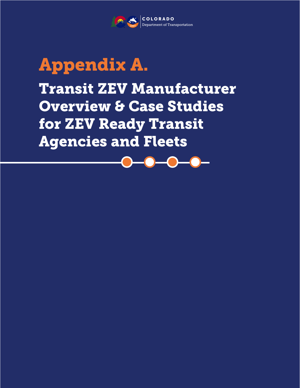

### Appendix A.

Transit ZEV Manufacturer Overview & Case Studies for ZEV Ready Transit Agencies and Fleets

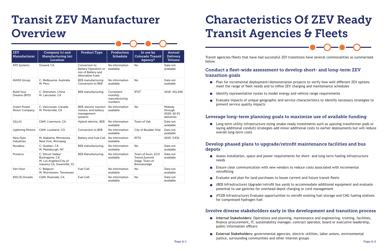# Characteristics Of ZEV Ready Transit Agencies & Fleets

Transit agencies/fleets that have had successful ZEV transitions have several commonalities as summarized below.

#### Conduct a fleet-wide assessment to develop short- and long-term ZEV transition goals

Plan for incremental deployment/demonstration projects to verify how well different ZEV options

- meet the range of fleet needs and to refine ZEV charging and maintenance schedules
- Identify representative routes to model energy and vehicle range requirements
- prevent service quality impacts

Evaluate impacts of unique geographic and service characteristics to identify necessary strategies to

#### Leverage long-term planning goals to maximize use of available funding

Long-term utility infrastructure sizing (make-ready investments such as upsizing transformer pads or laying additional conduit) strategies add minor additional costs to earlier deployments but will reduce

overall long-term costs

#### Develop phased plans to upgrade/retrofit maintenance facilities and bus depots

## Transit ZEV Manufacturer **Overview**

Assess installation, space and power requirements for short- and long-term fueling infrastructure

(BEB Infrastructure) Upgrade/retrofit bus yards to accommodate additional equipment and evaluate

- needs
- Ensure clear communication with new vendors to reduce costs associated with incremental retrofitting
- Evaluate and plan for land purchases to house current and future transit fleets
- potential to use gantries for overhead depot charging or cord management
- $\bullet$ for compressed hydrogen fuel

(FCEB Infrastructure) Evaluate opportunities to retrofit existing fuel storage and CNG fueling stations

#### Involve diverse stakeholders early in the development and transition process

**Internal Stakeholders:** Operations and planning, maintenance and engineering, training, facilities, finance procurement, IT, sustainability manager, contract operator, board or executive leadership,

**External Stakeholders:** governmental agencies, electric utilities, labor unions, environmental

- public information officers
- justice, surrounding communities and other interest groups

| <b>ZEV</b><br>Manufacturer                 | Company (c) and<br><b>Manufacturing (m)</b><br><b>Location</b>                                | <b>Product Type</b>                                                                            | Production<br><b>Schedule</b>                     | In use by<br><b>Colorado Transit</b><br>Agency?                        | Annual<br><b>Delivery</b><br><b>Volume</b>     |
|--------------------------------------------|-----------------------------------------------------------------------------------------------|------------------------------------------------------------------------------------------------|---------------------------------------------------|------------------------------------------------------------------------|------------------------------------------------|
| <b>APS Systems</b>                         | Oxnard, CA                                                                                    | Conversion to<br><b>Battery Operation or</b><br>mix of Battery and<br><b>Alternative Fuels</b> | No information<br>available                       | <b>No</b>                                                              | Data not<br>available                          |
| <b>AVASS Group</b>                         | C: Melbourne, Australia<br>M: Peru                                                            | <b>BEB</b> manufacturing<br>Conversion to BEB                                                  | No information<br>available                       | <b>No</b>                                                              | Data not<br>available                          |
| <b>Build Your</b><br>Dreams (BYD)          | C: Shenzhen, China<br>M: Lancaster, CA                                                        | <b>BEB</b> manufacturing                                                                       | Consistent<br>monthly<br>manufacturing<br>numbers | RTD <sup>4</sup>                                                       | 2019: 451,246                                  |
| <b>Green Power</b><br><b>Motor Company</b> | C: Vancouver, Canada<br>M: Porterville, CA                                                    | BEB, electric traction<br>motors, and battery<br>management<br>systems                         | No information<br>available                       | <b>No</b>                                                              | Midway<br>through<br>2020: 62 EV<br>deliveries |
| <b>GILLIG</b>                              | C&M: Livermore, CA                                                                            | Hybrid-electric, BEB                                                                           | No information<br>available                       | Town of Vail                                                           | Data not<br>available                          |
| <b>Lightning Motors</b>                    | C&M: Loveland, CO                                                                             | Conversion to BEB                                                                              | No information<br>available                       | City of Boulder (Via)                                                  | Data not<br>available                          |
| New Flyer<br><b>Industries</b>             | M: Alabama, Minnesota,<br>New York, Winnipeg                                                  | <b>Battery and Fuel Cell</b>                                                                   | No information<br>available                       | <b>RFTA</b>                                                            | 2019: 3,931                                    |
| <b>Novabus</b>                             | C: Quebec, CA<br>M: Plattsburgh, NY                                                           | <b>BEB</b> manufacturing                                                                       | No information<br>available                       | <b>No</b>                                                              | Data not<br>available                          |
| Proterra                                   | C: Silicon Valley/<br>Burlingame, CA<br>M: Los Angeles/City of<br>Industry CA, Greenville, SC | <b>BEB Manufacturing</b>                                                                       | No information<br>available                       | Town of Avon, ECO<br>Transit, Summit<br>Stage, Town of<br>Breckenridge | Data not<br>available                          |
| Van Hool                                   | C: Belgium<br>M: Morristown, Tennessee                                                        | <b>Fuel Cell</b>                                                                               | No information<br>available                       | No                                                                     | Data not<br>available                          |
| <b>ENC/El Dorado</b>                       | C&M: Riverside, CA                                                                            | <b>Fuel Cell</b>                                                                               | No information<br>available                       | No                                                                     | Data not<br>available                          |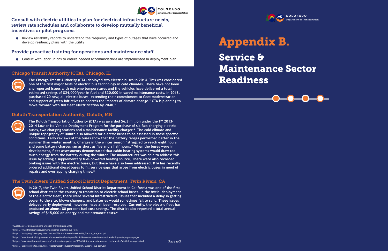

#### Consult with electric utilities to plan for electrical infrastructure needs, review rate schedules and collaborate to develop mutually beneficial incentives or pilot programs

Review reliability reports to understand the frequency and types of outages that have occurred and develop resiliency plans with the utility

#### Provide proactive training for operations and maintenance staff

Consult with labor unions to ensure needed accommodations are implemented in deployment plan

1 Guidebook for Deploying Zero-Emission Transit Buses, 2020

2 https://www.transitchicago.com/cta-expands-electric-bus-fleet/

⁴ https://www.transit.dot.gov/research-innovation/fiscal-year-2013-14-low-or-no-emission-vehicle-deployment-program-project

**The Chicago Transit Authority (CTA) deployed two electric buses in 2014. This was considered one of the first major tests of electric bus technology in cold climates. There have not been any reported issues with extreme temperatures and the vehicles have delivered a total estimated savings of \$24,000/year in fuel and \$30,000 in saved maintenance costs. In 2018, purchased 20 new, all-electric buses, extending their commitment to fleet modernization and support of green initiatives to address the impacts of climate change.2 CTA is planning to move forward with full fleet electrification by 2040.3**

**In 2017, the Twin Rivers Unified School District Department in California was one of the first school districts in the country to transition to electric school buses. In the initial deployment of the electric fleet, there were several infrastructural issues that included a delay in getting power to the site, blown chargers, and batteries would sometimes fail to sync. These issues delayed early deployment, however, have all been resolved. Currently, the electric fleet has produced an almost 80 percent fuel cost savings. The district also reported a total annual**  savings of \$15,000 on energy and maintenance costs.<sup>6</sup>

#### Chicago Transit Authority (CTA), Chicago, IL



**The Duluth Transportation Authority (DTA) was awarded \$6.3 million under the FY 2013- 2014 Low or No Vehicle Deployment Program for the purchase of six fast charging electric buses, two charging stations and a maintenance facility charger.⁴ The cold climate and unique topography of Duluth also allowed for electric buses to be assessed in these specific conditions. Early reviews of the buses show that the battery ranges performed better in the summer than winter months. Charges in the winter season "struggled to reach eight hours and some battery charges ran as short as five and a half hours." When the buses were in development, fleet assessments demonstrated that cabin heating systems would draw too much energy from the battery during the winter. The manufacturer was able to address this issue by adding a supplementary fuel-powered heating source. There were also recorded braking issues with the electric buses, but these have also been addressed. DTA has recently ordered additional diesel buses to fill service gaps that arose from electric buses in need of repairs and overlapping charging times.⁵**

#### Duluth Transportation Authority, Duluth, MN



#### The Twin Rivers Unified School District Department, Twin Rivers, CA



Service &



Readiness





<sup>3</sup> https://uspirg.org/sites/pirg/files/reports/ElectricBusesInAmerica/US\_Electric\_bus\_scrn.pdf

⁵ https://www.duluthnewstribune.com/business/transportation/3004653-Status-update-on-electric-buses-in-Duluth-Its-complicated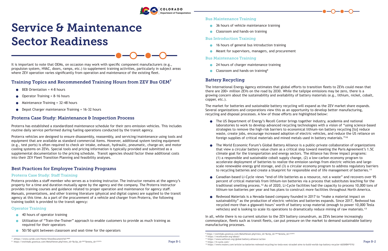

## Service & Maintenance Sector Readiness

It is important to note that OEMs, on occasion may work with specific component manufacturers (e.g., propulsion system, HVAC, doors, ramps, etc.) to supplement training activities, particularly in subject areas where ZEV operation varies significantly from operation and maintenance of the existing fleet.

#### Training Topics and Recommended Training Hours from ZEV Bus OEM<sup>7</sup>

- $\bullet$  BEB Orientation = 4-8 hours
- Operator Training = 8-16 hours
- $\bullet$  Maintenance Training = 32-48 hours
- $\bullet$  Depot Charger maintenance Training = 16-32 hours

#### Proterra Case Study: Maintenance & Inspection Process

Proterra has established a standardized maintenance schedule for their zero emission vehicles. This includes routine daily service performed during fueling operations conducted by the transit agency.

- 40 hours of operator training
- Utilization of "Train-the-Trainer" approach to enable customers to provide as much training as required for their operators
- 50/50 split between classroom and seat-time for the operators  $\bullet$

Proterra vehicles are designed to ensure disassembly, reassembly, and servicing/maintenance using tools and equipment that are available as standard commercial items. However, additional system testing equipment (e.g., test ports) is often required to check air intake, exhaust, hydraulic, pneumatic, charge-air, and motor cooling systems on ZEVs. Special tools and pricing information is typically provided and submitted as a supplemental documentation to the pricing schedule. Transit agencies should factor these additional costs into their ZEV Fleet Transition Planning and feasibility analyses.

- 36 hours of vehicle maintenance training
- Classroom and hands-on training

- **16 hours of general bus introduction training**
- Meant for supervisors, managers, and procurement

#### Best Practices for Employee Training Programs

#### Proterra Case Study: Staff Training

Proterra provides a staff member who serves as a training instructor. The instructor remains at the agency's property for a time and duration mutually agree by the agency and the company. The Proterra instructor provides training courses and guidance related to proper operation and maintenance for agency staff. Manuals, presentations, and other training literature (physical and digital copies) are supplied to the transit agency at this time. As a part of the procurement of a vehicle and charger from Proterra, the following training toolkit is provided to the transit agency:

#### Operator Training

The World Economic Forum's Global Battery Alliance is a public-private collaboration of organizations that view a circular battery value chain as a critical step toward meeting the Paris Agreement's 1.5C climate goal for the transportation and energy sectors. The Alliance has three impact programs: (1) a responsible and sustainable cobalt supply change, (2) a low-carbon economy program to accelerate deployment of batteries to realize the emission savings from electric vehicles and largescale renewable energy grid storage, and (3) a circular economy program to address regulatory barriers to recycling batteries and create a blueprint for responsible end of life management of batteries.<sup>11</sup>

#### Bus Maintenance Training

#### Bus Introduction Training

Redwood Materials is a Nevada-based company founded in 2017 to "make a material impact on sustainability" as the production of electric vehicles and batteries expands. Since 2017, Redwood has recycled more than a gigawatt-hours' worth of battery scrap material (enough to power 10,000 Tesla vehicles) and is looking to scale its operations to dramatically reduce mining of raw materials.<sup>13</sup>

#### Bus Maintenance Training

- **24 hours of charger maintenance training**
- Classroom and hands-on training<sup>9</sup>

13 https://www.reuters.com/article/us-batteries-redwood-recycling/ex-tesla-exec-straubel-aims-to-build-worlds-top-battery-recycler-idUSKBN26S3IU



### Battery Recycling

The International Energy Agency estimates that global efforts to transition fleets to ZEVs could mean that there are 200+ million ZEVs on the road by 2030. While the tailpipe emissions may be zero, there is a growing concern about the sustainability and availability of battery materials (e.g., lithium, nickel, cobalt, copper, etc.).

The market for batteries and sustainable battery recycling will expand as the ZEV market share expands. Several organizations and corporations view this as an opportunity to develop better manufacturing, recycling and disposal processes. A few of those efforts are highlighted below:

- foreign supplies of critical materials and mined metals used in battery materials."<sup>10</sup>
- 
- 
- $\bullet$

The US Department of Energy's Recell Center brings together industry, academia and national laboratories to work to develop advanced recycling technologies with a vision of "using science-based strategies to remove the high-risk barriers to economical lithium-ion battery recycling [to] reduce waste, create jobs, encourage increased adoption of electric vehicles, and reduce the US reliance on

Canadian-based Li-Cycle views "end-of-life batteries as a resource, not a waste" and recovers over 95 percent of critical materials from lithium-ion batteries via a process that substitutes leaching for the traditional smelting process.12 As of 2020, Li-Cycle facilities had the capacity to process 10,000 tons of lithium-ion batteries per year and has plans to construct more facilities throughout North America.

In all, while there is no current solution to the ZEV battery conundrum, as ZEVs become increasingly commonplace, fleets such as transit fleets, can put pressure on the market to demand sustainable battery manufacturing processes.

<sup>7</sup> zhttps://www.cyride.com/Home/ShowDocument?id=9880

 $8$  https://wichitaks.granicus.com/MetaViewer.php?view\_id=2 $26$ clip\_id=3837 $6$ meta\_id=222876 Page B-1

<sup>9</sup> https://wichitaks.granicus.com/MetaViewer.php?view\_id=2&clip\_id=3837&meta\_id=222876 10 https://recellcenter.org/about/

<sup>11</sup> https://www.weforum.org/global-battery-alliance/action

<sup>12</sup> https://li-cycle.com/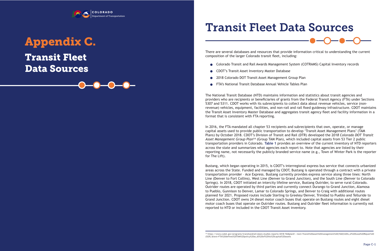### Transit Fleet Data Sources



### Appendix C.



# Transit Fleet Data Sources

There are several databases and resources that provide information critical to understanding the current composition of the larger Colorado transit fleet, including:

- Colorado Transit and Rail Awards Management System (COTRAMS) Capital Inventory records
- CDOT's Transit Asset Inventory Master Database
- 2018 Colorado DOT Transit Asset Management Group Plan
- FTA's National Transit Database Annual Vehicle Tables Plan

The National Transit Database (NTD) maintains information and statistics about transit agencies and providers who are recipients or beneficiaries of grants from the Federal Transit Agency (FTA) under Sections 5307 and 5311. CDOT works with its subrecipients to collect data about revenue vehicles, service (nonrevenue) vehicles, equipment, facilities, and non-rail and rail fixed guideway infrastructure. CDOT maintains the Transit Asset Inventory Master Database and aggregates transit agency fleet and facility information in a format that is consistent with FTA reporting.

In 2016, the FTA mandated all chapter 53 recipients and subrecipients that own, operate, or manage capital assets used to provide public transportation to develop 'Transit Asset Management Plans' (TAM Plans) by October 2018. CDOT's Division of Transit and Rail (DTR) developed the 2*018 Colorado DOT Transit Asset Management Group Plan*1⁴ (Group TAM Plan), which included capital assets from 53 Tier 2 public transportation providers in Colorado. **Table 1** provides an overview of the current inventory of NTD reporters across the state and summarizes what agencies each report to. Note that agencies are listed by their reporting name, not necessarily the publicly branded service name (e.g., Town of Winter Park is the reporter for The Lift).

Bustang, which began operating in 2015, is CDOT's interregional express bus service that connects urbanized areas across the State. Funded and managed by CDOT, Bustang is operated through a contract with a private transportation provider – Ace Express. Bustang currently provides express service along three lines: North Line (Denver to Fort Collins), West Line (Denver to Grand Junction), and the South Line (Denver to Colorado Springs). In 2018, CDOT initiated an intercity lifeline service, Bustang Outrider, to serve rural Colorado. Outrider routes are operated by third parties and currently connect Durango to Grand Junction, Alamosa to Pueblo, Gunnison to Denver, Lamar to Colorado Springs, and Denver to Craig with additional routes planned for 2021. Proposed routes include Sterling to Greeley/Denver, Trinidad to Pueblo and Telluride to Grand Junction. CDOT owns 24 diesel motor coach buses that operate on Bustang routes and eight diesel motor coach buses that operate on Outrider routes. Bustang and Outrider fleet information is currently not reported to NTD or included in the CDOT Transit Asset inventory.

(SGR).&text=FTA%20defines%20TAM%20policy%20as,all%20of%20its%20capital%20assets

<sup>14</sup> https://www.codot.gov/programs/transitandrail/plans-studies-reports/2018-TAMplan#:~:text=Transit%20asset%20management%20(TAM)%20is,of%20Good%20Repair%20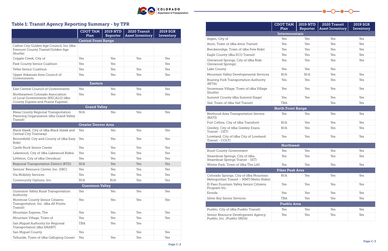|                                                                                                                | <b>CDOT TAM</b><br>Plan    | <b>2019 NTD</b><br>Reporter | 2020 Transit<br><b>Asset Inventory</b> | <b>2019 SGR</b><br>Inventory |
|----------------------------------------------------------------------------------------------------------------|----------------------------|-----------------------------|----------------------------------------|------------------------------|
|                                                                                                                | <b>Central Front Range</b> |                             |                                        |                              |
| Cañon City Golden Age Council, Inc (dba<br>Fremont County Transit/Golden Age<br>Shuttle)                       |                            |                             |                                        |                              |
| Cripple Creek, City of                                                                                         | Yes                        | Yes                         | Yes                                    | Yes                          |
| Park County Senior Coalition                                                                                   | Yes                        | Yes                         |                                        | Yes                          |
| <b>Teller Senior Coalition</b>                                                                                 | Yes                        | Yes                         | Yes                                    | Yes                          |
| Upper Arkansas Area Council of<br>Governments                                                                  | Yes                        | Yes                         | Yes                                    | Yes                          |
|                                                                                                                | <b>Eastern</b>             |                             |                                        |                              |
| East Central Council of Governments                                                                            | Yes                        | Yes                         | Yes                                    | Yes                          |
| Northeastern Colorado Association<br>of Local Governments (NECALG) (dba<br>County Express and Prairie Express) | Yes                        | Yes                         | Yes                                    | Yes                          |
|                                                                                                                | <b>Grand Valley</b>        |                             |                                        |                              |
| Mesa County Regional Transportation<br>Planning Organization (dba Grand Valley<br>Transit)                     | N/A                        | Yes                         | Yes                                    | Yes                          |
|                                                                                                                | <b>Greater Denver Area</b> |                             |                                        |                              |
| Black Hawk, City of (dba Black Hawk and<br>Central City Tramway)                                               | Yes                        | Yes                         | Yes                                    | Yes                          |
| Broomfield, City and County of (dba Easy<br>Ride)                                                              | Yes                        | Yes                         | Yes                                    | Yes                          |
| Castle Rock Senior Center                                                                                      | Yes                        | Yes                         | Yes                                    | Yes                          |
| Lakewood, City of (dba Lakewood Rides)                                                                         | Yes                        | Yes                         | Yes                                    | Yes                          |
| Littleton, City of (dba Omnibus)                                                                               | Yes                        | Yes                         | Yes                                    | Yes                          |
| Regional Transportation District (RTD)                                                                         | N/A                        | Yes                         | Yes                                    | Yes                          |
| Seniors' Resource Center, Inc. (SRC)                                                                           | Yes                        | Yes                         | Yes                                    | Yes                          |
| Via Mobility Services                                                                                          | Yes                        | Yes                         | Yes                                    | Yes                          |
| Community Options, Inc.                                                                                        | N/A                        | N/A                         | Yes                                    | Yes                          |
|                                                                                                                | <b>Gunnison Valley</b>     |                             |                                        |                              |
| Gunnison Valley Rural Transportation<br>Authority                                                              | Yes                        | Yes                         | Yes                                    | Yes                          |
| Montrose County Senior Citizens<br>Transportation, Inc. (dba All Points<br>Transit)                            | Yes                        | Yes                         | Yes                                    | Yes                          |
| Mountain Express, The                                                                                          | Yes                        | Yes                         | Yes                                    | Yes                          |
| Mountain Village, Town of                                                                                      | Yes                        | Yes                         | Yes                                    | Yes                          |
| San Miguel Authority for Regional<br>Transportation (dba SMART)                                                | TBA                        | Yes                         | Yes                                    |                              |
| San Miguel County                                                                                              | Yes                        |                             | Yes                                    | Yes                          |
| Telluride, Town of (dba Galloping Goose)                                                                       | Yes                        | Yes                         | Yes                                    | Yes                          |



### Table 1: Transit Agency Reporting Summary - by TPR



|                                                                                    | <b>CDOT TAM</b><br>Plan  | <b>2019 NTD</b><br>Reporter | 2020 Transit<br><b>Asset Inventory</b> | <b>2019 SGR</b><br>Inventory |
|------------------------------------------------------------------------------------|--------------------------|-----------------------------|----------------------------------------|------------------------------|
|                                                                                    | Intermountain            |                             |                                        |                              |
| Aspen, City of                                                                     | Yes                      | Yes                         | Yes                                    | Yes                          |
| Avon, Town of (dba Avon Transit)                                                   | Yes                      | Yes                         | Yes                                    | Yes                          |
| Breckenridge, Town of (dba Free Ride)                                              | Yes                      | Yes                         | Yes                                    | Yes                          |
| Eagle County (dba ECO Transit)                                                     | Yes                      | Yes                         | Yes                                    | Yes                          |
| Glenwood Springs, City of (dba Ride<br>Glenwood Springs)                           | Yes                      | Yes                         | Yes                                    | Yes                          |
| Lake County                                                                        | Yes                      | Yes                         | Yes                                    |                              |
| Mountain Valley Developmental Services                                             | N/A                      | N/A                         | Yes                                    | Yes                          |
| Roaring Fork Transportation Authority<br>(RFTA)                                    | Yes                      | Yes                         | Yes                                    | Yes                          |
| Snowmass Village, Town of (dba Village<br>Shuttle)                                 | Yes                      | Yes                         | Yes                                    | Yes                          |
| Summit County (dba Summit Stage)                                                   | Yes                      | Yes                         | Yes                                    | Yes                          |
| Vail, Town of (dba Vail Transit)                                                   | TBA                      |                             | Yes                                    | Yes                          |
|                                                                                    | <b>North Front Range</b> |                             |                                        |                              |
| Berthoud Area Transportation Service<br>(BATS)                                     | Yes                      | Yes                         | Yes                                    | Yes                          |
| Fort Collins, City of (dba Transfort)                                              | N/A                      | Yes                         | Yes                                    | Yes                          |
| Greeley, City of (dba Greeley Evans<br>Transit - GET)                              | N/A                      | Yes                         | Yes                                    | Yes                          |
| Loveland, City of (dba City of Loveland<br>Transit - COLT)                         | Yes                      | Yes                         | Yes                                    | Yes                          |
|                                                                                    | <b>Northwest</b>         |                             |                                        |                              |
| Routt County Government                                                            | Yes                      | Yes                         | Yes                                    | Yes                          |
| Steamboat Springs, City of (dba<br>Steamboat Springs Transit - SST)                | Yes                      | Yes                         | Yes                                    | Yes                          |
| Winter Park, Town of (dba The Lift)                                                | Yes                      | Yes                         | Yes                                    | Yes                          |
|                                                                                    | <b>Pikes Peak Area</b>   |                             |                                        |                              |
| Colorado Springs, City of (dba Mountain<br>Metropolitan Transit - MMT/Metro Rides) | N/A                      | Yes                         | Yes                                    | Yes                          |
| El Paso Fountain Valley Senior Citizens<br>Program Inc.                            | Yes                      | Yes                         | Yes                                    | Yes                          |
| Envida                                                                             | Yes                      | Yes                         | Yes                                    | Yes                          |
| Silver Key Senior Services                                                         | TBA                      | Yes                         | Yes                                    | Yes                          |
|                                                                                    | <b>Pueblo Area</b>       |                             |                                        |                              |
| Pueblo, City of (dba Pueblo Transit)                                               | Yes                      | Yes                         | Yes                                    | Yes                          |
| Senior Resource Development Agency,<br>Pueblo, Inc. (Pueblo SRDA)                  | Yes                      | Yes                         | Yes                                    | Yes                          |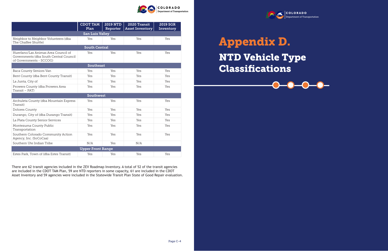

|                                                                                                          | <b>CDOT TAM</b>          | <b>2019 NTD</b> | 2020 Transit           | <b>2019 SGR</b> |  |  |  |
|----------------------------------------------------------------------------------------------------------|--------------------------|-----------------|------------------------|-----------------|--|--|--|
|                                                                                                          | Plan                     | Reporter        | <b>Asset Inventory</b> | Inventory       |  |  |  |
|                                                                                                          | <b>San Luis Valley</b>   |                 |                        |                 |  |  |  |
| Neighbor to Neighbor Volunteers (dba<br>The Chaffee Shuttle)                                             | Yes                      | Yes             | Yes                    | Yes             |  |  |  |
| <b>South Central</b>                                                                                     |                          |                 |                        |                 |  |  |  |
| Huerfano/Las Animas Area Council of<br>Governments (dba South Central Council<br>of Governments - SCCOG) | Yes                      | Yes             | Yes                    | Yes             |  |  |  |
| <b>Southeast</b>                                                                                         |                          |                 |                        |                 |  |  |  |
| Baca County Seniors Van                                                                                  | Yes                      | Yes             | Yes                    | Yes             |  |  |  |
| Bent County (dba Bent County Transit)                                                                    | Yes                      | Yes             | Yes                    | Yes             |  |  |  |
| La Junta, City of                                                                                        | Yes                      | Yes             | Yes                    | Yes             |  |  |  |
| Prowers County (dba Prowers Area<br>Transit - PAT)                                                       | Yes                      | Yes             | Yes                    | Yes             |  |  |  |
|                                                                                                          | <b>Southwest</b>         |                 |                        |                 |  |  |  |
| Archuleta County (dba Mountain Express<br>Transit)                                                       | Yes                      | Yes             | Yes                    | Yes             |  |  |  |
| <b>Dolores County</b>                                                                                    | Yes                      | Yes             | Yes                    | Yes             |  |  |  |
| Durango, City of (dba Durango Transit)                                                                   | Yes                      | Yes             | Yes                    | Yes             |  |  |  |
| La Plata County Senior Services                                                                          | Yes                      | Yes             | Yes                    | Yes             |  |  |  |
| Montezuma County Public<br>Transportation                                                                | Yes                      | Yes             | Yes                    | Yes             |  |  |  |
| Southern Colorado Community Action<br>Agency, Inc. (SoCoCaa)                                             | Yes                      | Yes             | Yes                    | Yes             |  |  |  |
| Southern Ute Indian Tribe                                                                                | N/A                      | Yes             | N/A                    |                 |  |  |  |
|                                                                                                          | <b>Upper Front Range</b> |                 |                        |                 |  |  |  |
| Estes Park, Town of (dba Estes Transit)                                                                  | Yes                      | Yes             | Yes                    | Yes             |  |  |  |

There are 62 transit agencies included in the ZEV Roadmap Inventory. A total of 52 of the transit agencies are included in the CDOT TAM Plan, 59 are NTD reporters in some capacity, 61 are included in the CDOT Asset Inventory and 59 agencies were included in the Statewide Transit Plan State of Good Repair evaluation.

# NTD Vehicle Type Classifications Appendix D.



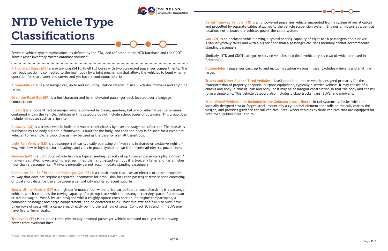

## NTD Vehicle Type Classifications

Revenue vehicle type classifications, as defined by the FTA, and reflected in the NTD Database and the CDOT Transit Asset Inventory Master database include15:

**Articulated Buses (AB)** are extra-long (54 ft. to 60 ft.) buses with two connected passenger compartments. The rear body section is connected to the main body by a joint mechanism that allows the vehicles to bend when in operation for sharp turns and curves and yet have a continuous interior.

**Automobile (AO)** is a passenger car, up to and including, station wagons in size. Excludes minivans and anything larger.

**Over-the-Road Bus (BR)** is a bus characterized by an elevated passenger deck located over a baggage compartment.

**Bus (BU)** is a rubber-tired passenger vehicle powered by diesel, gasoline, battery or alternative fuel engines contained within the vehicle. Vehicles in this category do not include school buses or cutaways. This group does include minibuses such as a Sprinter.

**Cutaway (CU)** is a transit vehicle built on a van or truck chassis by a second stage manufacturer. The chassis is purchased by the body builder, a framework is built for the body, and then the body is finished for a complete vehicle. For example, a truck chassis may be used as the base for a small transit bus.

**Light Rail Vehicle (LR)** is a passenger rail car typically operating on fixed rails in shared or exclusive right-ofway, with low or high platform loading, and vehicle power typical drawn from overhead electric power lines.

**Minivan (MV)** is a light duty vehicle having a typical seating capacity of up to seven passengers plus a driver. A minivan is smaller, lower, and more streamlined than a full-sized van, but it is typically taller and has a higher floor than a passenger car. Minivans normally cannot accommodate standing passengers.

**Commuter Rail Self-Propelled Passenger Car (RS)** is a transit mode that uses an electric or diesel propelled railway that does not require a separate locomotive for propulsion for urban passenger train service consisting of local short distance travel between a central city and its adjacent suburbs.

**Sports Utility Vehicle (SV)** is a high-performance four-wheel drive car built on a truck chassis. It is a passenger vehicle, which combines the towing capacity of a pickup truck with the passenger-carrying space of a minivan or station wagon. Most SUVs are designed with a roughly square cross-section, an engine compartment, a combined passenger and cargo compartment, and no dedicated trunk. Most mid-size and full-size SUVs have three rows of seats with a cargo area directly behind the last row of seats. Compact SUVs and mini-SUVs may have five or fewer seats.

**Trolleybus (TB)** is a rubber-tired, electrically powered passenger vehicle operated on city streets drawing power from overhead lines.



**Aerial Tramway Vehicle (TR)** is an unpowered passenger vehicle suspended from a system of aerial cables and propelled by separate cables attached to the vehicle suspension system. Engines or motors at a central location, not onboard the vehicle, power the cable system.

**Van (VN)** is an enclosed vehicle having a typical seating capacity of eight to 18 passengers and a driver. A van is typically taller and with a higher floor than a passenger car. Vans normally cannot accommodate standing passengers.

Similarly, NTD and CDOT categorize service vehicles into three vehicle types (two of which are used in Colorado):

**Automobiles** – passenger cars, up to and including station wagons in size. Excludes minivans and anything larger.

**Trucks and Other Rubber-Tired Vehicles** - A self-propelled, motor vehicle designed primarily for the transportation of property or special purpose equipment, typically a service vehicle. It may consist of a chassis and body; a chassis, cab and body; or it may be of integral construction so that the body and chassis form a single unit. This vehicle category also includes pickup trucks, vans, SUVs, and minivans.

**Steel Wheel Vehicles (not included in the Colorado transit fleet)** - In rail systems, vehicles with the specially designed cast or forged steel, essentially a cylindrical element that rolls on the rail, carries the weight, and provides guidance for rail vehicles. Steel wheel vehicles exclude vehicles that are equipped for both road (rubber tires) and rail.

<sup>15</sup> https://cms7.fta.dot.gov/sites/fta.dot.gov/files/docs/subdoc/186/2019-ntd-reduced-reporting-manual-v1-1\_0.pdf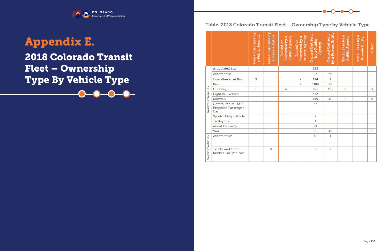COLORADO tment of Transportation<sup>.</sup>

## 2018 Colorado Transit Fleet – Ownership Type By Vehicle Type Appendix E.



|                  |                                                   | Lease Purchase by<br>a Public Agency | Lease Purchase by<br>a Private Entity | Borrowed by a<br>Public Agency<br>Leased or | Private Agency<br>Borrowed by a<br>Leased or | <b>Owned Outright</b><br>by a Public<br>Agency | by a Private Entity<br><b>Owned Outright</b> | True Lease by a<br><b>Public Agency</b> | True Lease by a<br><b>Private Entity</b> | Other       |
|------------------|---------------------------------------------------|--------------------------------------|---------------------------------------|---------------------------------------------|----------------------------------------------|------------------------------------------------|----------------------------------------------|-----------------------------------------|------------------------------------------|-------------|
|                  | <b>Articulated Bus</b>                            |                                      |                                       |                                             |                                              | 125                                            |                                              |                                         |                                          |             |
|                  | Automobile                                        |                                      |                                       |                                             |                                              | 23                                             | 66                                           |                                         | $\mathbf 1$                              |             |
|                  | Over-the-Road Bus                                 | $\mathcal{G}$                        |                                       |                                             | $\overline{c}$                               | 194                                            | $\mathbf{1}$                                 |                                         |                                          |             |
|                  | <b>Bus</b>                                        | $\mathbf 1$                          |                                       |                                             | $\overline{4}$                               | 1189                                           | 27                                           |                                         |                                          |             |
|                  | Cutaway                                           | $\mathbf 1$                          |                                       | $\overline{4}$                              |                                              | 699                                            | 113                                          | $\mathbf 1$                             |                                          | 3           |
|                  | Light Rail Vehicle                                |                                      |                                       |                                             |                                              | 172                                            |                                              |                                         |                                          |             |
|                  | Minivan                                           |                                      |                                       |                                             |                                              | 149                                            | 40                                           | $\mathbf{1}$                            |                                          | 11          |
| Revenue Vehicles | Commuter Rail Self-<br>Propelled Passenger<br>Car |                                      |                                       |                                             |                                              | 66                                             |                                              |                                         |                                          |             |
|                  | Sports Utility Vehicle                            |                                      |                                       |                                             |                                              | $\overline{c}$                                 |                                              |                                         |                                          |             |
|                  | Trolleybus                                        |                                      |                                       |                                             |                                              | $\mathbf{1}$                                   |                                              |                                         |                                          |             |
|                  | Aerial Tramway                                    |                                      |                                       |                                             |                                              | 71                                             |                                              |                                         |                                          |             |
|                  | Van                                               | $\mathbf 1$                          |                                       |                                             |                                              | 68                                             | 46                                           |                                         |                                          | $\mathbf 1$ |
|                  | Automobiles                                       |                                      |                                       |                                             |                                              | 48                                             | $\mathbf{1}$                                 |                                         |                                          |             |
| Service Vehicles | Trucks and Other<br>Rubber Tire Vehicles          |                                      | 5                                     |                                             |                                              | 58                                             | 7                                            |                                         |                                          |             |



### Table: 2018 Colorado Transit Fleet – Ownership Type by Vehicle Type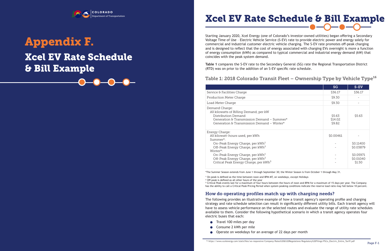## Xcel EV Rate Schedule & Bill Example Appendix F.



COLORADO Department of Transportation

> Starting January 2020, Xcel Energy (one of Colorado's investor-owned utilities) began offering a Secondary Voltage Time of Use – Electric Vehicle Service (S-EV) rate to provide electric power and energy solely for commercial and industrial customer electric vehicle charging. The S-EV rate promotes off-peak charging and is designed to reflect that the cost of energy associated with charging EVs overnight is more a function of energy consumption (kWh) as compared to typical commercial and industrial energy demand (kW) that coincides with the peak system demand.

**Table 1** compares the S-EV rate to the Secondary General (SG) rate the Regional Transportation District (RTD) was on prior to the addition of an S-EV specific rate schedule.

### Table 1: 2018 Colorado Transit Fleet – Ownership Type by Vehicle Type<sup>16</sup>

<sup>3</sup> Critical Peak events last for a maximum of four hours between the hours of noon and 8PM for a maximum of 15 days per year. The Company has the ability to call a Critical Peak Pricing Period when system peaking conditions indicate the reserve load ratio may fall below 10 percent.

|                                                                                                                                                                                                                                                                                                                               | <b>SG</b>                   | S-EV                                                       |
|-------------------------------------------------------------------------------------------------------------------------------------------------------------------------------------------------------------------------------------------------------------------------------------------------------------------------------|-----------------------------|------------------------------------------------------------|
| Service & Facilities Charge                                                                                                                                                                                                                                                                                                   | \$36.17                     | \$36.17                                                    |
| Production Meter Charge                                                                                                                                                                                                                                                                                                       | \$9.30                      |                                                            |
| Load Meter Charge                                                                                                                                                                                                                                                                                                             | \$9.30                      |                                                            |
| Demand Charge:<br>All kilowatts of Billing Demand, per kW<br>Distribution Demand<br>Generation & Transmission Demand – Summer*<br>Generation & Transmission Demand – Winter*                                                                                                                                                  | \$5.63<br>\$14.02<br>\$9.82 | \$5.63                                                     |
| Energy Charge:<br>All kilowatt-hours used, per kWh<br>Summer*:<br>On-Peak Energy Charge, per kWh <sup>1</sup><br>Off-Peak Energy Charge, per kWh <sup>2</sup><br>Winter*:<br>On-Peak Energy Charge, per kWh <sup>1</sup><br>Off-Peak Energy Charge, per kWh <sup>2</sup><br>Critical Peak Energy Charge, per kWh <sup>3</sup> | \$0.00461                   | \$0.11400<br>\$0.03879<br>\$0.05971<br>\$0.01040<br>\$1.50 |

- Travel 100 miles per day
- Consume 2 kWh per mile  $\bullet$
- Operate on weekdays for an average of 22 days per month

\*The Summer Season extends from June 1 through September 30; the Winter Season is from October 1 through May 31.

1 On-peak is defined as the time between noon and 8PM MT, on weekdays, except Holidays 2 Off-peak is defined as all other hours of the year

#### How do operating profiles match up with charging needs?

The following provides an illustrative example of how a transit agency's operating profile and charging strategy and rate schedule selection can result in significantly different utility bills. Each transit agency will have to assess vehicle performance on the selected routes and evaluate the range of utility rate schedules available to them. Consider the following hypothetical scenario in which a transit agency operates four electric buses that each:

# Xcel EV Rate Schedule & Bill Example

Page F-1 16 https://www.xcelenergy.com/staticfiles/xe-responsive/Company/Rates%20&%20Regulations/Regulatory%20Filings/PSCo\_Electric\_Entire\_Tariff.pdf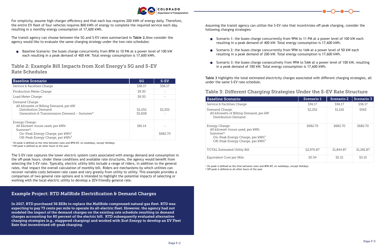

For simplicity, assume high charger efficiency and that each bus requires 200 kWh of energy daily. Therefore, the entire EV fleet of four vehicles requires 800 kWh of energy to complete the required service each day, resulting in a monthly energy consumption of 17,600 kWh.

The transit agency can choose between the SG and S-EV rates summarized in **Table 2.**Now consider the agency would like to evaluate the same charging strategy under the two rate schedules:

Baseline Scenario: the buses charge concurrently from 8PM to 10 PM at a power level of 100 kW each resulting in a peak demand of 400 kW. Total energy consumption is 17,600 kWh.

| <b>Baseline Scenario</b>                                                                                                                                      | <b>SG</b>          | $S-EV$   |
|---------------------------------------------------------------------------------------------------------------------------------------------------------------|--------------------|----------|
| Service & Facilities Charge                                                                                                                                   | \$36.17            | \$36.17  |
| Production Meter Charge                                                                                                                                       | \$9.30             |          |
| Load Meter Charge                                                                                                                                             | \$9.30             |          |
| Demand Charge:<br>All kilowatts of Billing Demand, per kW<br>Distribution Demand<br>Generation & Transmission Demand – Summer*                                | \$2,252<br>\$5,608 | \$2,252  |
| Energy Charge:<br>All kilowatt-hours used, per kWh<br>Summer*:<br>On-Peak Energy Charge, per kWh <sup>1</sup><br>Off-Peak Energy Charge, per kWh <sup>2</sup> | \$81.14            | \$682.70 |

#### Table 2: Example Bill Impacts from Xcel Energy's SG and S-EV Rate Schedules

1 On-peak is defined as the time between noon and 8PM MT, on weekdays, except Holidays

2 Off-peak is defined as all other hours of the year

The S-EV rate captures the lower electric system costs associated with energy demand and consumption in the off-peak hours. Under these conditions and available rate structures, the agency would benefit from selecting the S-EV rate. Typically, electric utility bills include a range of riders, in addition to the general rates, that impact the overall calculation of monthly bill. Riders are mechanisms by which utilities can recover variable costs between rate cases and vary greatly from utility to utility. This example provides a comparison of two general rate options and is intended to highlight the potential impacts of selecting or working with the local electric utility to develop a ZEV-friendly general rate.

In 2017, RTD purchased 36 BEBs to replace the MallRide compressed natural gas fleet. RTD was expecting to pay 73 cents per mile to operate its all-electric fleet. However, the agency had not modeled the impact of the demand charges on the existing rate schedule resulting in demand charges accounting for 80 percent of the electric bill. RTD subsequently evaluated alternative charging strategies (e.g., staggered charging) and worked with Xcel Energy to develop an EV Fleet Rate that incentivized off-peak charging.

#### Example Project: RTD MallRide Electrification & Demand Charges



Assuming the transit agency can utilize the S-EV rate that incentivizes off peak charging, consider the following charging strategies:

- Scenario 1: the buses charge concurrently from 9PM to 11 PM at a power level of 100 kW each resulting in a peak demand of 400 kW. Total energy consumption is 17,600 kWh.
- Scenario 2: the buses charge concurrently from 9PM to 1AM at a power level of 50 kW each resulting in a peak demand of 200 kW. Total energy consumption is 17,600 kWh.
- Scenario 3: the buses charge consecutively from 9PM to 5AM at a power level of 100 kW, resulting in a peak demand of 100 kW. Total energy consumption is 17,600 kWh.

| <b>Baseline Scenario</b>                                                                                                                                      | Scenario 1 | <b>Scenario 2</b> | <b>Scenario 3</b> |
|---------------------------------------------------------------------------------------------------------------------------------------------------------------|------------|-------------------|-------------------|
| Service & Facilities Charge                                                                                                                                   | \$36.17    | \$36.17           | \$36.17           |
| Demand Charge:<br>All kilowatts of Billing Demand, per kW<br>Distribution Demand                                                                              | \$2,252    | \$1,126           | \$563             |
| Energy Charge:<br>All kilowatt-hours used, per kWh<br>Summer*:<br>On-Peak Energy Charge, per kWh <sup>1</sup><br>Off-Peak Energy Charge, per kWh <sup>2</sup> | \$682.70   | \$682.70          | \$682.70          |
| TOTAL Estimated Utility Bill                                                                                                                                  | \$2,970.87 | \$1,844.87        | \$1,281.87        |
| Equivalent Cost per Mile                                                                                                                                      | \$0.34     | \$0.21            | \$0.15            |

#### Table 3: Different Charging Strategies Under the S-EV Rate Structure

**Table 3** highlights the total estimated electricity charges associated with different charging strategies, all under the same S-EV rate schedule.

1 On-peak is defined as the time between noon and 8PM MT, on weekdays, except Holidays

2 Off-peak is defined as all other hours of the year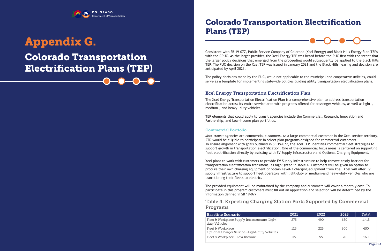### Colorado Transportation Electrification Plans (TEP) Appendix G.

COLORADO Department of Transportation



Consistent with SB 19-077, Public Service Company of Colorado (Xcel Energy) and Black Hills Energy filed TEPs with the CPUC. As the larger provider, the Xcel Energy TEP was heard before the PUC first with the intent that the larger policy decisions that emerged from the proceeding would subsequently be applied to the Black Hills TEP. The PUC decision on the Xcel TEP was issued in January 2021 and the Black Hills hearing and decision are anticipated by April 2021.

The policy decisions made by the PUC, while not applicable to the municipal and cooperative utilities, could serve as a template for implementing statewide policies guiding utility transportation electrification plans.

#### Xcel Energy Transportation Electrification Plan

#### Commercial Portfolio

The Xcel Energy Transportation Electrification Plan is a comprehensive plan to address transportation electrification across its entire service area with programs offered for passenger vehicles, as well as light-, medium-, and heavy- duty vehicles.

TEP elements that could apply to transit agencies include the Commercial, Research, Innovation and Partnership, and Low-Income plan portfolios.



Most transit agencies are commercial customers. As a large commercial customer in the Xcel service territory, RTD would be eligible to participate in select plan programs designed for commercial customers. To ensure alignment with goals outlined in SB 19-077, the Xcel TEP, identifies commercial fleet strategies to support growth in transportation electrification. One of the commercial focus areas is centered on supporting fleet electrification directly by assisting with EV Supply Infrastructure and Optional Charging Equipment.

Xcel plans to work with customers to provide EV Supply Infrastructure to help remove costly barriers for transportation electrification transitions, as highlighted in Table 4. Customers will be given an option to procure their own charging equipment or obtain Level-2 charging equipment from Xcel. Xcel will offer EV supply infrastructure to support fleet operators with light-duty or medium-and heavy-duty vehicles who are transitioning their fleets to electric.

The provided equipment will be maintained by the company and customers will cover a monthly cost. To participate in this program customers must fill out an application and selection will be determined by the information defined in SB 19-077.

| <b>Baseline Scenario</b>                                          | 2021 | 2022 | 2023 | Total |
|-------------------------------------------------------------------|------|------|------|-------|
| Fleet & Workplace Supply Infrastructure-Light-<br>duty Vehicles   | 275  | 490  | 650  | 1,415 |
| Fleet & Workplace<br>Optional Charger Service-Light-duty Vehicles | 125  | 225  | 300  | 650   |
| Fleet & Workplace—Low Income                                      | 35   | 55   | 70   | 160   |

#### Table 4: Expecting Charging Station Ports Supported by Commercial

Programs

|  | Baseline Scenario |
|--|-------------------|
|  |                   |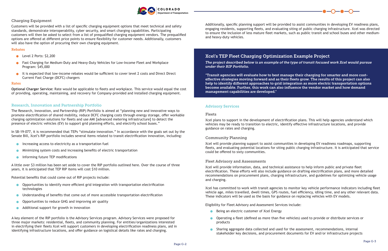

#### Charging Equipment

Customers will be provided with a list of specific charging equipment options that meet technical and safety standards, demonstrate interoperability, cyber security, and smart charging capabilities. Participating customers will then be asked to select from a list of prequalified charging equipment vendors. The prequalified options are offered at different price points to ensure flexibility for customer needs. Additionally, customers will also have the option of procuring their own charging equipment.

- $\bullet$  Level 2 Ports: \$2,200
- **•** Fast Charging for Medium-Duty and Heavy-Duty Vehicles for Low-Income Fleet and Workplace Program: \$45,000
- It is expected that low-income rebates would be sufficient to cover level 2 costs and Direct Direct Current Fast Charge (DCFC) chargers

#### Rebates

#### Rates

**Optional Charger Service:** Rate would be applicable to fleets and workplace. This service would equal the cost of providing, operating, maintaining, and recovery for Company-provided and installed charging equipment.

#### Research, Innovation and Partnership Portfolio

The Research, Innovation, and Partnership (RIP) Portfolio is aimed at "planning new and innovative ways to promote electrification of shared mobility, reduce DCFC charging costs through energy storage, offer workable charging optimization solutions for fleets and use AMI [advanced metering infrastructure] to detect the presence of electric vehicles (EV) to support grid planning efforts, and electrify school buses."

In SB-19-077, it is recommended that TEPs "stimulate innovation." In accordance with the goals set out by the Senate Bill, Xcel's RIP portfolio includes several items related to transit electrification innovation, including:

- Increasing access to electricity as a transportation fuel
- Minimizing system costs and increasing benefits of electric transportation  $\bullet$
- **Informing future TEP modifications**

A little over \$3 million has been set aside to cover the RIP portfolio outlined here. Over the course of three years, it is anticipated that TEP RIP items will cost \$10 million.

Potential benefits that could come out of RIP projects include:

- **Opportunities to identify more efficient grid integration with transportation electrification** technologies
- Understanding of benefits that come out of more accessible transportation electrification
- Opportunities to reduce GHG and improving air quality  $\bullet$
- Additional support for growth in innovation  $\bullet$

A key element of the RIP portfolio is the Advisory Services program. Advisory Services were proposed for three major markets: residential, fleets, and community planning. For entities/organizations interested in electrifying their fleets Xcel will support customers in developing electrification readiness plans, aid in identifying infrastructure locations, and offer guidance on logistical details like rates and charging.

- Being an electric customer of Xcel Energy
- products
- Sharing aggregate data collected and used for the assessment, recommendations, internal



Additionally, specific planning support will be provided to assist communities in developing EV readiness plans, engaging residents, supporting fleets, and evaluating siting of public charging infrastructure. Xcel was directed to ensure the inclusion of less mature fleet markets, such as public transit and school buses and other mediumand heavy-duty vehicles.

*The project described below is an example of the type of transit focused work Xcel would pursue under their RIP Portfolio.*

"Transit agencies will evaluate how to best manage their charging for smarter and more costeffective strategies moving forward and as their fleets grow. The results of this project can also help to identify different approaches to grid integration as more electric transportation options become available. Further, this work can also influence the vendor market and how demand management capabilities are developed."

#### Xcel's TEP Fleet Charging Optimization Example Project

#### Advisory Services

#### Fleets

Xcel plans to support in the development of electrification plans. This will help agencies understand which vehicles may be ready to transition to electric, identify effective infrastructure locations, and provide guidance on rates and charging.

#### Community Planning

Xcel will provide planning support to assist communities in developing EV readiness roadmaps, supporting fleets, and evaluating potential locations for siting public charging infrastructure. It is anticipated that service could be offered to sixty communities.

#### Fleet Advisory and Assessments

Xcel will provide information, data, and technical assistance to help inform public and private fleet electrification. These efforts will also include guidance on drafting electrification plans, and more detailed recommendations on procurement plans, charging infrastructure, and guidelines for optimizing vehicle usage and charging.

Xcel has committed to work with transit agencies to monitor key vehicle performance indicators including fleet vehicle age, miles travelled, dwell times, GPS routes, fuel efficiency, idling time, and any other relevant data. These indicators will be used as the basis for guidance on replacing vehicles with EV models.

Eligibility for Fleet Advisory and Assessment Services include:

Operating a fleet (defined as more than five vehicles) used to provide or distribute services or

stakeholder key decisions, and procurement documents for EV and/or infrastructure projects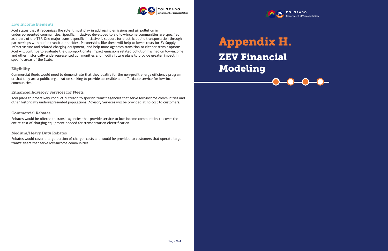

#### Low Income Elements

Xcel states that it recognizes the role it must play in addressing emissions and air pollution in underrepresented communities. Specific initiatives developed to aid low-income communities are specified as a part of the TEP. One major transit specific initiative is support for electric public transportation through partnerships with public transit authorities. Partnerships like these will help to lower costs for EV Supply Infrastructure and related charging equipment, and help more agencies transition to cleaner transit options. Xcel will continue to evaluate the disproportionate impact emissions related pollution has had on low-income and other historically underrepresented communities and modify future plans to provide greater impact in specific areas of the State.

#### Eligibility

Commercial fleets would need to demonstrate that they qualify for the non-profit energy efficiency program or that they are a public organization seeking to provide accessible and affordable service for low-income communities.

#### Enhanced Advisory Services for Fleets

Xcel plans to proactively conduct outreach to specific transit agencies that serve low-income communities and other historically underrepresented populations. Advisory Services will be provided at no cost to customers.

#### Commercial Rebates

Rebates would be offered to transit agencies that provide service to low-income communities to cover the entire cost of charging equipment needed for transportation electrification.

#### Medium/Heavy Duty Rebates

Rebates would cover a large portion of charger costs and would be provided to customers that operate large transit fleets that serve low-income communities.

### ZEV Financial Modeling Appendix H.

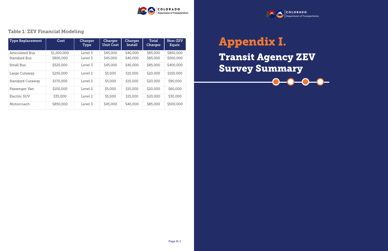| <b>Type Replacement</b> | Cost        | Charger<br>Type | Charger<br><b>Unit Cost</b> | <b>Charger</b><br>Install | Total<br>Charger | Non-ZEV<br>Equiv. |
|-------------------------|-------------|-----------------|-----------------------------|---------------------------|------------------|-------------------|
| <b>Articulated Bus</b>  | \$1,200,000 | Level 3         | \$45,000                    | \$40,000                  | \$85,000         | \$850,000         |
| Standard Bus            | \$800,000   | Level 3         | \$45,000                    | \$40,000                  | \$85,000         | \$500,000         |
| Small Bus               | \$525,000   | Level 3         | \$45,000                    | \$40,000                  | \$85,000         | \$400,000         |
| Large Cutaway           | \$250,000   | Level 2         | \$5,000                     | \$15,000                  | \$20,000         | \$150,000         |
| <b>Standard Cutaway</b> | \$170,000   | Level 2         | \$5,000                     | \$15,000                  | \$20,000         | \$90,000          |
| Passenger Van           | \$150,000   | Level 2         | \$5,000                     | \$15,000                  | \$20,000         | \$60,000          |
| Electric SUV            | \$35,000    | Level 2         | \$5,000                     | \$15,000                  | \$20,000         | \$30,000          |
| Motorcoach              | \$850,000   | Level 3         | \$45,000                    | \$40,000                  | \$85,000         | \$500,000         |



### Table 1: ZEV Financial Modeling

## Transit Agency ZEV Survey Summary Appendix I.

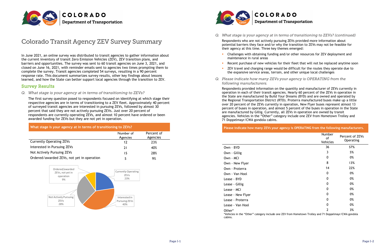

### Colorado Transit Agency ZEV Survey Summary

In June 2021, an online survey was distributed to transit agencies to gather information about the current inventory of transit Zero Emission Vehicles (ZEV), ZEV transition plans, and barriers and opportunities. The survey was sent to 60 transit agencies on June 3, 2021, and closed on June 16, 2021, with reminder emails sent to agencies two times prompting them to complete the survey. Transit agencies completed 54 surveys, resulting in a 90 percent response rate. This document summarizes survey results, other key findings about lessons learned, and how the State can better support local agencies through the transition to ZEV.

#### Survey Results

#### *Q. What stage is your agency at in terms of transitioning to ZEVs?*

The first survey question posed to respondents focused on identifying at which stage their respective agencies are in terms of transitioning to a ZEV fleet. Approximately 40 percent of surveyed transit agencies are interested in pursuing ZEVs, followed by almost 30 percent that said they are not actively pursuing ZEVs. Just over 20 percent of respondents are currently operating ZEVs, and almost 10 percent have ordered or been awarded funding for ZEVs but they are not yet in operation.

| What stage is your agency at in terms of transitioning to ZEVs? |                       |                        |  |  |  |  |
|-----------------------------------------------------------------|-----------------------|------------------------|--|--|--|--|
|                                                                 | Number of<br>Agencies | Percent of<br>Agencies |  |  |  |  |
| <b>Currently Operating ZEVs</b>                                 | 12                    | 23%                    |  |  |  |  |
| Interested in Pursuing ZEVs                                     | 21                    | 40%                    |  |  |  |  |
| Not Actively Pursuing ZEVs                                      | 15                    | 28%                    |  |  |  |  |
| Ordered/awarded ZEVs, not yet in operation                      | 5                     | 9%                     |  |  |  |  |





#### *Q. What stage is your agency at in terms of transitioning to ZEVs? (continued)*

potential barriers they face and/or why the transition to ZEVs may not be feasible for

Challenges with obtaining funding and/or other resources for ZEV deployment and

- - Respondents who are not actively pursuing ZEVs provided more information about their agency at this time. Three key themes emerged:
	- maintenance in rural areas
	-
	- the expansive service areas, terrain, and other unique local challenges
- *Q. Please indicate how many ZEVs your agency is OPERATING from the following manufacturers.*

 Recent purchase of new vehicles for their fleet that will not be replaced anytime soon ZEV travel and charging range would be difficult for the routes they operate due to

Respondents provided information on the quantity and manufacturer of ZEVs currently in operation in each of their transit agencies. Nearly 60 percent of the ZEVs in operation in the State are manufactured by Build Your Dreams (BYD) and are owned and operated by the Regional Transportation District (RTD). Proterra manufactured buses make up a little over 20 percent of the ZEVs currently in operation, New Flyer buses represent almost 13 percent of buses in operation, and almost 5 percent of the buses in operation in the State are manufactured by Gillig. Currently, all ZEVs in operation are owned by transit agencies. Vehicles in the "Other" category include one ZEV from Hometown Trolley and 71 Doppelmayr/CWA gondola cabins.

| Please indicate how many ZEVs your agency is OPERATING from the following manufacturers.                                   | Number         |                              |
|----------------------------------------------------------------------------------------------------------------------------|----------------|------------------------------|
|                                                                                                                            | оf<br>Vehicles | Percent of ZEVs<br>Operating |
| Own - BYD                                                                                                                  | 36             | 57%                          |
| Own - Gillig                                                                                                               | 3              | 5%                           |
| Own - MCI                                                                                                                  | 0              | 0%                           |
| Own - New Flyer                                                                                                            | 8              | 13%                          |
| Own - Proterra                                                                                                             | 14             | 22%                          |
| Own - Van Hool                                                                                                             | 0              | 0%                           |
| Lease - BYD                                                                                                                | 0              | 0%                           |
| Lease - Gillig                                                                                                             | 0              | 0%                           |
| Lease - MCI                                                                                                                | 0              | 0%                           |
| Lease - New Flyer                                                                                                          | 0              | 0%                           |
| Lease - Proterra                                                                                                           | 0              | 0%                           |
| Lease - Van Hool                                                                                                           | 0              | 0%                           |
| Other*<br>*Vehicles in the "Other" category include one ZEV from Hometown Trolley and 71 Doppelmayr/CWA gondola<br>cabins. | $\mathcal{P}$  | 3%                           |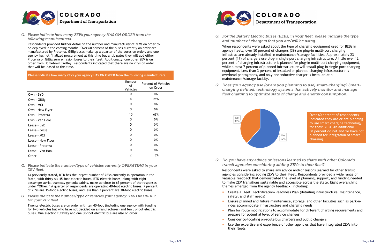

*Q. Please indicate how many ZEVs your agency HAS ON ORDER from the following manufacturers.*

Respondents provided further detail on the number and manufacturer of ZEVs on order to be deployed in the coming months. Over 60 percent of the buses currently on order are manufactured by Proterra. Gillig buses make up a quarter of the buses on order, and one agency has not finalized procurement at this time but anticipates they will add either Proterra or Gillig zero emission buses to their fleet. Additionally, one other ZEV is on order from Hometown Trolley. Respondents indicated that there are no ZEVs on order that will be leased at this time.

**Please indicate how many ZEVs your agency HAS ON ORDER from the following manufacturers.**

|                   | Number<br>of<br>Vehicles | <b>Percent of Vehicles</b><br>on Order |
|-------------------|--------------------------|----------------------------------------|
| Own - BYD         | 0                        | 0%                                     |
| Own - Gillig      | 4                        | 25%                                    |
| Own - MCI         | 0                        | 0%                                     |
| Own - New Flyer   | 0                        | 0%                                     |
| Own - Proterra    | 10                       | 63%                                    |
| Own - Van Hool    | 0                        | 0%                                     |
| Lease - BYD       | 0                        | 0%                                     |
| Lease - Gillig    | 0                        | 0%                                     |
| Lease - MCI       | 0                        | 0%                                     |
| Lease - New Flyer | 0                        | 0%                                     |
| Lease - Proterra  | 0                        | 0%                                     |
| Lease - Van Hool  | 0                        | 0%                                     |
| Other             | 2                        | 13%                                    |

*Q. Please indicate the number/type of vehicles currently OPERATING in your ZEV fleet.*

As previously stated, RTD has the largest number of ZEVs currently in operation in the State, with thirty-six 45-foot electric buses. RTD electric buses, along with eight passenger aerial tramway gondola cabins, make up close to 65 percent of the responses under "Other." A quarter of respondents are operating 40-foot electric buses, 7 percent of ZEVs are 35-foot electric buses, and less than 3 percent are 30-foot electric buses.

*Q. Please indicate the number/type of vehicles your agency HAS ON ORDER for your ZEV fleet.*

Twenty electric buses are on order with ten 40-foot (including one agency with funding for two vehicles but who have not decided on a manufacturer) and ten 35-foot electric buses. One electric cutaway and one 30-foot electric bus are also on order.



# **Department of Transportation**

*Q. For the Battery Electric Buses (BEBs) in your fleet, please indicate the type* 

*and number of chargers that you are/will be using.*

When respondents were asked about the type of charging equipment used for BEBs in agency fleets, over 50 percent of chargers (39) are plug-in multi-port charging infrastructure already installed in maintenance/storage facilities. Approximately 23 percent (17) of chargers use plug-in single port charging infrastructure. A little over 12 percent of charging infrastructure is planned for plug-in multi-port charging equipment, while almost 7 percent of planned infrastructure will install plug-in single-port charging equipment. Less than 3 percent of installed or planned charging infrastructure is overhead pantographs, and only one inductive charger is installed at a maintenance/storage facility.

*Q. Does your agency use (or are you planning to use) smart-charging? Smartcharging defined: technology systems that actively monitor and manage* 

*fleet charging to optimize state of charge and energy consumption.*

*Q. Do you have any advice or lessons learned to share with other Colorado* 

*transit agencies considering adding ZEVs to their fleet*?

Respondents were asked to share any advice and/or lessons learned for other transit agencies considering adding ZEVs to their fleet. Respondents provided a wide range of valuable feedback that demonstrated the level of planning, support, and funding needed to make ZEV transitions sustainable and accessible across the State. Eight overarching themes emerged from the agency feedback, including:

Create a Fleet Electrification/Readiness Plan (detailing infrastructure, maintenance,

- safety, and staff needs)
- Ensure planned and future maintenance, storage, and other facilities such as park-nrides accommodate infrastructure and charging needs
- Plan for route modifications to accommodate for different charging requirements and prepare for potential level of service changes
- **Consider co-locating on-route bus chargers and public chargers**
- Use the expertise and experience of other agencies that have integrated ZEVs into their fleets



Over 60 percent of respondents indicated they are or are planning to use smart charging technology for their BEBs. An additional 38 percent do not and/or have not planned for integration of smart charging.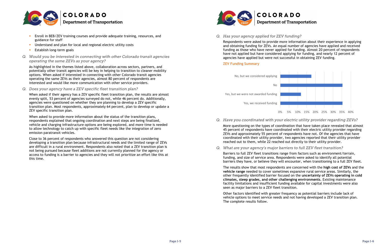

- Enroll in BEB/ZEV training courses and provide adequate training, resources, and guidance for staff
- Understand and plan for local and regional electric utility costs
- Establish long-term goals
- *Q. Would you be interested in connecting with other Colorado transit agencies operating the same ZEVs as your agency?*

As highlighted in the themes listed above, collaboration across sectors, partners, and potentially other transit agencies will be key in helping to transition to cleaner mobility options. When asked if interested in connecting with other Colorado transit agencies operating the same ZEVs as their agencies, almost 80 percent of respondents are interested and would like more communication with other service providers.

*Q. Does your agency have a ZEV specific fleet transition plan?*

When asked if their agency has a ZEV specific fleet transition plan, the results are almost evenly split, 53 percent of agencies surveyed do not, while 46 percent do. Additionally, agencies were questioned on whether they are planning to develop a ZEV specific transition plan. Most respondents, approximately 64 percent, plan to develop or update a ZEV specific transition plan.

When asked to provide more information about the status of the transition plans, respondents explained that ongoing coordination and next steps are being finalized, vehicle and charging infrastructure options are being explored, and more time is needed to allow technology to catch up with specific fleet needs like the integration of zero emission paratransit vehicles.

Close to 36 percent of respondents who answered this question are not considering developing a transition plan because infrastructural needs and the limited range of ZEVs are difficult in a rural environment. Respondents also noted that a ZEV transition plan is not being pursued because fleet additions are not currently planned for the agency or access to funding is a barrier to agencies and they will not prioritize an effort like this at this time.



# **Department of Transportation**

*Q. Has your agency applied for ZEV funding?*

Respondents were asked to provide more information about their experience in applying and obtaining funding for ZEVs. An equal number of agencies have applied and received funding as those who have never applied for funding. Almost 20 percent of respondents have not applied but have considered applying for funding, and nearly 12 percent of agencies have applied but were not successful in obtaining ZEV funding.

#### **ZEV Funding Summary**

#### *Q. Have you coordinated with your electric utility provider regarding ZEVs?*

More questioning on the types of coordination that have taken place revealed that almost 45 percent of respondents have coordinated with their electric utility provider regarding ZEVs and approximately 55 percent of respondents have not. Of the agencies that have coordinated with their utility provider, two agencies reported that their utility provider reached out to them, while 22 reached out directly to their utility provider.

*Q. What are your agency's major barriers to full ZEV fleet transition?*

Barriers to full ZEV fleet transitions range from factors such as environment/terrain, funding, and size of service area. Respondents were asked to identify all potential barriers they have, or believe they will encounter, when transitioning to a full ZEV fleet.

The results show that most respondents are concerned with the **high cost of ZEVs** and the **vehicle range** needed to cover sometimes expansive rural service areas. Similarly, the other frequently identified barrier focused on the **uncertainty of ZEVs operating in cold climates, steep grades, and other challenging environments**. Existing maintenance facility limitations and insufficient funding available for capital investments were also seen as major barriers to a ZEV fleet transition.

Other factors identified with greater frequency as potential barriers include lack of vehicle options to meet service needs and not having developed a ZEV transition plan. The complete results follow.

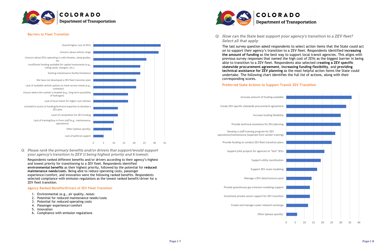

#### **Barriers to Fleet Transition**

*Q. Please rank the primary benefits and/or drivers that support/would support your agency's transition to ZEV (1 being highest priority and 6 lowest).*

Respondents ranked different benefits and/or drivers according to their agency's highest and lowest priority for transitioning to a ZEV fleet. Respondents identified **environmental benefits** as their highest priority, followed by the potential for **reduced maintenance needs/cost**s. Being able to reduce operating costs, passenger experience/comfort, and innovation were the following ranked benefits. Respondents selected compliance with emission regulations as the lowest ranked benefit/driver for a ZEV fleet transition.

#### **Agency Ranked Benefits/Drivers of ZEV Fleet Transition**

- 1. Environmental (e.g., air quality, noise)
- 2. Potential for reduced maintenance needs/costs
- 3. Potential for reduced operating costs
- 4. Passenger experience/comfort
- 5. Innovation
- 6. Compliance with emission regulations





# **Department of Transportation**

*Q. How can the State best support your agency's transition to a ZEV fleet? Select all that apply.*

The last survey question asked respondents to select action items that the State could act on to support their agency's transition to a ZEV fleet. Respondents identified i**ncreasing the amount of funding** as the best way to support local transit agencies. This aligns with previous survey responses that named the high cost of ZEVs as the biggest barrier in being able to transition to a ZEV fleet. Respondents also selected c**reating a ZEV specific statewide procurement agreement**, **increasing funding flexibility**, and **providing technical assistance for ZEV planning** as the most helpful action items the State could undertake. The following chart identifies the full list of actions, along with their corresponding scores.

#### **Preferred State Actions to Support Transit ZEV Transition**



Other (please specify):

Create and manage a peer network exchange

Incentivize private sector support for ZEV transition

Provide greenhouse gas emission modeling support

Manage a ZEV data/resource pool

Support ZEV route modeling

Support utility coordination

Support pilot projects for agencies to "test" ZEVs

Provide funding to conduct ZEV fleet transition plans

Develop a staff training program for ZEV operations/maintenance (separate from vendor training)

Provide technical assistance for ZEV planning

Increase funding flexibility

Create ZEV specific statewide procurement agreement

Increase amount of funding available